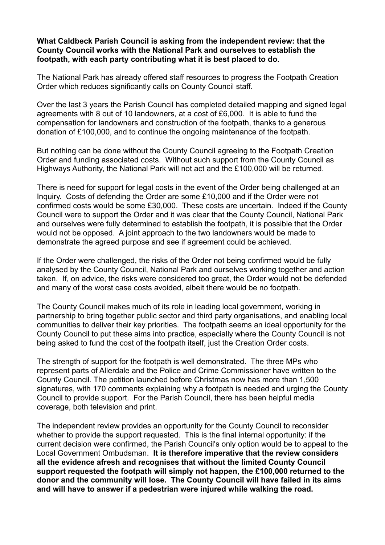#### **What Caldbeck Parish Council is asking from the independent review: that the County Council works with the National Park and ourselves to establish the footpath, with each party contributing what it is best placed to do.**

The National Park has already offered staff resources to progress the Footpath Creation Order which reduces significantly calls on County Council staff.

Over the last 3 years the Parish Council has completed detailed mapping and signed legal agreements with 8 out of 10 landowners, at a cost of £6,000. It is able to fund the compensation for landowners and construction of the footpath, thanks to a generous donation of £100,000, and to continue the ongoing maintenance of the footpath.

But nothing can be done without the County Council agreeing to the Footpath Creation Order and funding associated costs. Without such support from the County Council as Highways Authority, the National Park will not act and the £100,000 will be returned.

There is need for support for legal costs in the event of the Order being challenged at an Inquiry. Costs of defending the Order are some £10,000 and if the Order were not confirmed costs would be some £30,000. These costs are uncertain. Indeed if the County Council were to support the Order and it was clear that the County Council, National Park and ourselves were fully determined to establish the footpath, it is possible that the Order would not be opposed. A joint approach to the two landowners would be made to demonstrate the agreed purpose and see if agreement could be achieved.

If the Order were challenged, the risks of the Order not being confirmed would be fully analysed by the County Council, National Park and ourselves working together and action taken. If, on advice, the risks were considered too great, the Order would not be defended and many of the worst case costs avoided, albeit there would be no footpath.

The County Council makes much of its role in leading local government, working in partnership to bring together public sector and third party organisations, and enabling local communities to deliver their key priorities. The footpath seems an ideal opportunity for the County Council to put these aims into practice, especially where the County Council is not being asked to fund the cost of the footpath itself, just the Creation Order costs.

The strength of support for the footpath is well demonstrated. The three MPs who represent parts of Allerdale and the Police and Crime Commissioner have written to the County Council. The petition launched before Christmas now has more than 1,500 signatures, with 170 comments explaining why a footpath is needed and urging the County Council to provide support. For the Parish Council, there has been helpful media coverage, both television and print.

The independent review provides an opportunity for the County Council to reconsider whether to provide the support requested. This is the final internal opportunity: if the current decision were confirmed, the Parish Council's only option would be to appeal to the Local Government Ombudsman. **It is therefore imperative that the review considers all the evidence afresh and recognises that without the limited County Council support requested the footpath will simply not happen, the £100,000 returned to the donor and the community will lose. The County Council will have failed in its aims and will have to answer if a pedestrian were injured while walking the road.**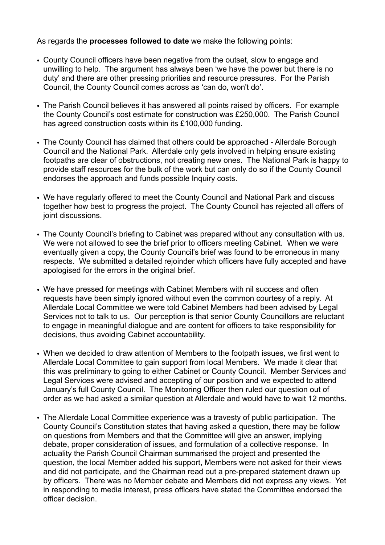As regards the **processes followed to date** we make the following points:

- County Council officers have been negative from the outset, slow to engage and unwilling to help. The argument has always been 'we have the power but there is no duty' and there are other pressing priorities and resource pressures. For the Parish Council, the County Council comes across as 'can do, won't do'.
- The Parish Council believes it has answered all points raised by officers. For example the County Council's cost estimate for construction was £250,000. The Parish Council has agreed construction costs within its £100,000 funding.
- The County Council has claimed that others could be approached Allerdale Borough Council and the National Park. Allerdale only gets involved in helping ensure existing footpaths are clear of obstructions, not creating new ones. The National Park is happy to provide staff resources for the bulk of the work but can only do so if the County Council endorses the approach and funds possible Inquiry costs.
- We have regularly offered to meet the County Council and National Park and discuss together how best to progress the project. The County Council has rejected all offers of joint discussions.
- The County Council's briefing to Cabinet was prepared without any consultation with us. We were not allowed to see the brief prior to officers meeting Cabinet. When we were eventually given a copy, the County Council's brief was found to be erroneous in many respects. We submitted a detailed rejoinder which officers have fully accepted and have apologised for the errors in the original brief.
- We have pressed for meetings with Cabinet Members with nil success and often requests have been simply ignored without even the common courtesy of a reply. At Allerdale Local Committee we were told Cabinet Members had been advised by Legal Services not to talk to us. Our perception is that senior County Councillors are reluctant to engage in meaningful dialogue and are content for officers to take responsibility for decisions, thus avoiding Cabinet accountability.
- When we decided to draw attention of Members to the footpath issues, we first went to Allerdale Local Committee to gain support from local Members. We made it clear that this was preliminary to going to either Cabinet or County Council. Member Services and Legal Services were advised and accepting of our position and we expected to attend January's full County Council. The Monitoring Officer then ruled our question out of order as we had asked a similar question at Allerdale and would have to wait 12 months.
- The Allerdale Local Committee experience was a travesty of public participation. The County Council's Constitution states that having asked a question, there may be follow on questions from Members and that the Committee will give an answer, implying debate, proper consideration of issues, and formulation of a collective response. In actuality the Parish Council Chairman summarised the project and presented the question, the local Member added his support, Members were not asked for their views and did not participate, and the Chairman read out a pre-prepared statement drawn up by officers. There was no Member debate and Members did not express any views. Yet in responding to media interest, press officers have stated the Committee endorsed the officer decision.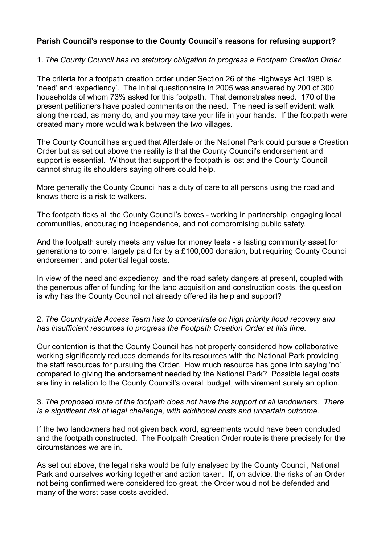# **Parish Council's response to the County Council's reasons for refusing support?**

## 1. *The County Council has no statutory obligation to progress a Footpath Creation Order.*

The criteria for a footpath creation order under Section 26 of the Highways Act 1980 is 'need' and 'expediency'. The initial questionnaire in 2005 was answered by 200 of 300 households of whom 73% asked for this footpath. That demonstrates need. 170 of the present petitioners have posted comments on the need. The need is self evident: walk along the road, as many do, and you may take your life in your hands. If the footpath were created many more would walk between the two villages.

The County Council has argued that Allerdale or the National Park could pursue a Creation Order but as set out above the reality is that the County Council's endorsement and support is essential. Without that support the footpath is lost and the County Council cannot shrug its shoulders saying others could help.

More generally the County Council has a duty of care to all persons using the road and knows there is a risk to walkers.

The footpath ticks all the County Council's boxes - working in partnership, engaging local communities, encouraging independence, and not compromising public safety.

And the footpath surely meets any value for money tests - a lasting community asset for generations to come, largely paid for by a £100,000 donation, but requiring County Council endorsement and potential legal costs.

In view of the need and expediency, and the road safety dangers at present, coupled with the generous offer of funding for the land acquisition and construction costs, the question is why has the County Council not already offered its help and support?

## 2. *The Countryside Access Team has to concentrate on high priority flood recovery and has insufficient resources to progress the Footpath Creation Order at this time.*

Our contention is that the County Council has not properly considered how collaborative working significantly reduces demands for its resources with the National Park providing the staff resources for pursuing the Order. How much resource has gone into saying 'no' compared to giving the endorsement needed by the National Park? Possible legal costs are tiny in relation to the County Council's overall budget, with virement surely an option.

## 3. *The proposed route of the footpath does not have the support of all landowners. There is a significant risk of legal challenge, with additional costs and uncertain outcome.*

If the two landowners had not given back word, agreements would have been concluded and the footpath constructed. The Footpath Creation Order route is there precisely for the circumstances we are in.

As set out above, the legal risks would be fully analysed by the County Council, National Park and ourselves working together and action taken. If, on advice, the risks of an Order not being confirmed were considered too great, the Order would not be defended and many of the worst case costs avoided.